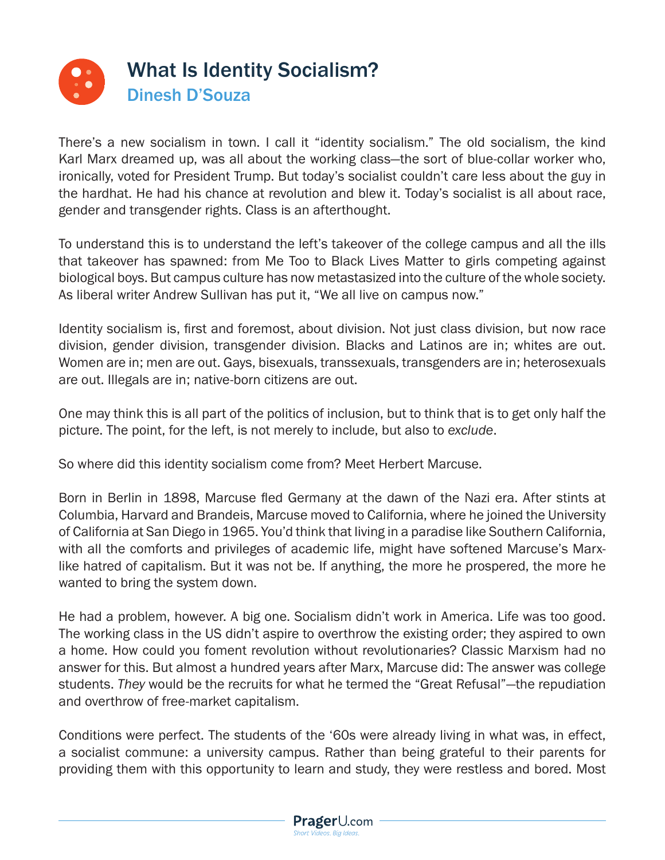

There's a new socialism in town. I call it "identity socialism." The old socialism, the kind Karl Marx dreamed up, was all about the working class—the sort of blue-collar worker who, ironically, voted for President Trump. But today's socialist couldn't care less about the guy in the hardhat. He had his chance at revolution and blew it. Today's socialist is all about race, gender and transgender rights. Class is an afterthought.

To understand this is to understand the left's takeover of the college campus and all the ills that takeover has spawned: from Me Too to Black Lives Matter to girls competing against biological boys. But campus culture has now metastasized into the culture of the whole society. As liberal writer Andrew Sullivan has put it, "We all live on campus now."

Identity socialism is, first and foremost, about division. Not just class division, but now race division, gender division, transgender division. Blacks and Latinos are in; whites are out. Women are in; men are out. Gays, bisexuals, transsexuals, transgenders are in; heterosexuals are out. Illegals are in; native-born citizens are out.

One may think this is all part of the politics of inclusion, but to think that is to get only half the picture. The point, for the left, is not merely to include, but also to *exclude*.

So where did this identity socialism come from? Meet Herbert Marcuse.

Born in Berlin in 1898, Marcuse fled Germany at the dawn of the Nazi era. After stints at Columbia, Harvard and Brandeis, Marcuse moved to California, where he joined the University of California at San Diego in 1965. You'd think that living in a paradise like Southern California, with all the comforts and privileges of academic life, might have softened Marcuse's Marxlike hatred of capitalism. But it was not be. If anything, the more he prospered, the more he wanted to bring the system down.

He had a problem, however. A big one. Socialism didn't work in America. Life was too good. The working class in the US didn't aspire to overthrow the existing order; they aspired to own a home. How could you foment revolution without revolutionaries? Classic Marxism had no answer for this. But almost a hundred years after Marx, Marcuse did: The answer was college students. *They* would be the recruits for what he termed the "Great Refusal"—the repudiation and overthrow of free-market capitalism.

Conditions were perfect. The students of the '60s were already living in what was, in effect, a socialist commune: a university campus. Rather than being grateful to their parents for providing them with this opportunity to learn and study, they were restless and bored. Most